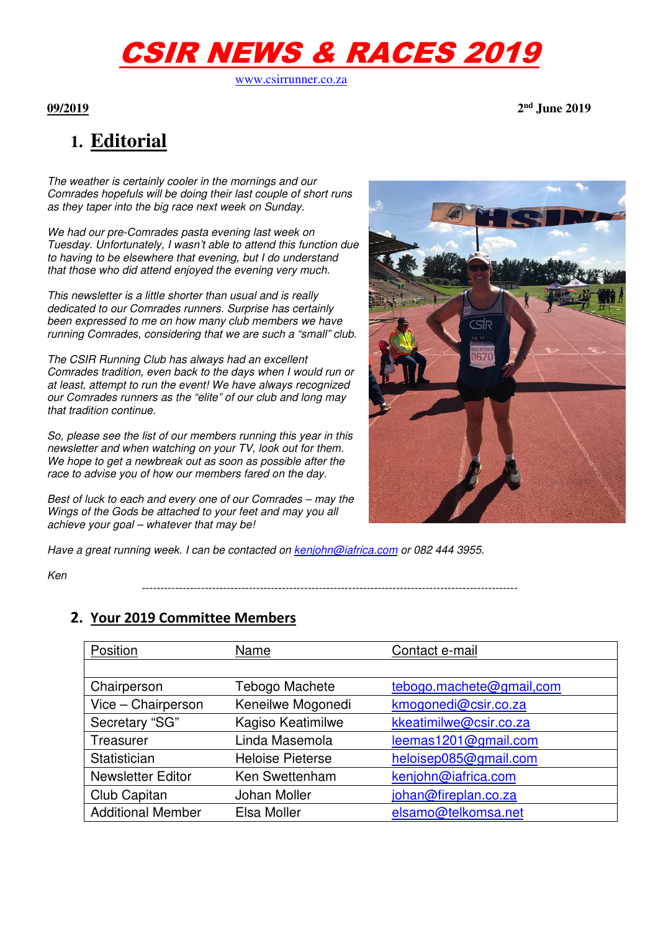# CSIR NEWS & RACES 2019

www.csirrunner.co.za

**09/2019 2nd June 2019** 

## **1. Editorial**

The weather is certainly cooler in the mornings and our Comrades hopefuls will be doing their last couple of short runs as they taper into the big race next week on Sunday.

We had our pre-Comrades pasta evening last week on Tuesday. Unfortunately, I wasn't able to attend this function due to having to be elsewhere that evening, but I do understand that those who did attend enjoyed the evening very much.

This newsletter is a little shorter than usual and is really dedicated to our Comrades runners. Surprise has certainly been expressed to me on how many club members we have running Comrades, considering that we are such a "small" club.

The CSIR Running Club has always had an excellent Comrades tradition, even back to the days when I would run or at least, attempt to run the event! We have always recognized our Comrades runners as the "elite" of our club and long may that tradition continue.

So, please see the list of our members running this year in this newsletter and when watching on your TV, look out for them. We hope to get a newbreak out as soon as possible after the race to advise you of how our members fared on the day.

Best of luck to each and every one of our Comrades – may the Wings of the Gods be attached to your feet and may you all achieve your goal – whatever that may be!



Have a great running week. I can be contacted on kenjohn@iafrica.com or 082 444 3955.

Ken

**2. Your 2019 Committee Members** 

| Position                 | Name                    | Contact e-mail           |
|--------------------------|-------------------------|--------------------------|
|                          |                         |                          |
| Chairperson              | Tebogo Machete          | tebogo.machete@gmail.com |
| Vice - Chairperson       | Keneilwe Mogonedi       | kmogonedi@csir.co.za     |
| Secretary "SG"           | Kagiso Keatimilwe       | kkeatimilwe@csir.co.za   |
| Treasurer                | Linda Masemola          | leemas1201@gmail.com     |
| Statistician             | <b>Heloise Pieterse</b> | heloisep085@gmail.com    |
| <b>Newsletter Editor</b> | Ken Swettenham          | kenjohn@iafrica.com      |
| Club Capitan             | Johan Moller            | johan@fireplan.co.za     |
| <b>Additional Member</b> | Elsa Moller             | elsamo@telkomsa.net      |

------------------------------------------------------------------------------------------------------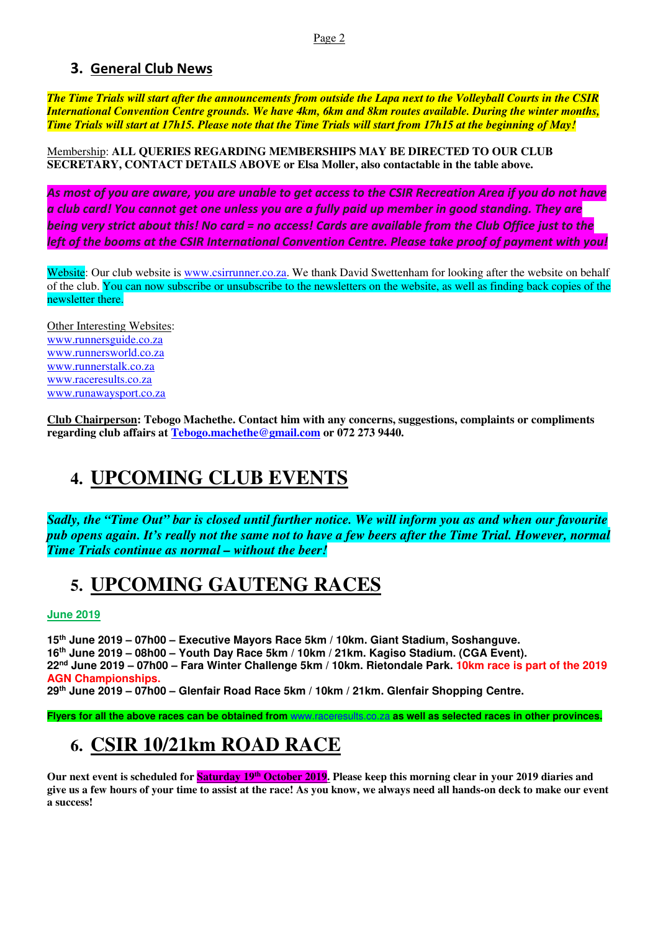### **3. General Club News**

*The Time Trials will start after the announcements from outside the Lapa next to the Volleyball Courts in the CSIR International Convention Centre grounds. We have 4km, 6km and 8km routes available. During the winter months, Time Trials will start at 17h15. Please note that the Time Trials will start from 17h15 at the beginning of May!*

Membership: **ALL QUERIES REGARDING MEMBERSHIPS MAY BE DIRECTED TO OUR CLUB SECRETARY, CONTACT DETAILS ABOVE or Elsa Moller, also contactable in the table above.** 

*As most of you are aware, you are unable to get access to the CSIR Recreation Area if you do not have a club card! You cannot get one unless you are a fully paid up member in good standing. They are being very strict about this! No card = no access! Cards are available from the Club Office just to the left of the booms at the CSIR International Convention Centre. Please take proof of payment with you!* 

Website: Our club website is www.csirrunner.co.za. We thank David Swettenham for looking after the website on behalf of the club. You can now subscribe or unsubscribe to the newsletters on the website, as well as finding back copies of the newsletter there.

Other Interesting Websites: www.runnersguide.co.za www.runnersworld.co.za www.runnerstalk.co.za www.raceresults.co.za www.runawaysport.co.za

**Club Chairperson: Tebogo Machethe. Contact him with any concerns, suggestions, complaints or compliments regarding club affairs at Tebogo.machethe@gmail.com or 072 273 9440.** 

### **4. UPCOMING CLUB EVENTS**

*Sadly, the "Time Out" bar is closed until further notice. We will inform you as and when our favourite pub opens again. It's really not the same not to have a few beers after the Time Trial. However, normal Time Trials continue as normal – without the beer!* 

### **5. UPCOMING GAUTENG RACES**

**June 2019** 

**th June 2019 – 07h00 – Executive Mayors Race 5km / 10km. Giant Stadium, Soshanguve. th June 2019 – 08h00 – Youth Day Race 5km / 10km / 21km. Kagiso Stadium. (CGA Event). nd June 2019 – 07h00 – Fara Winter Challenge 5km / 10km. Rietondale Park. 10km race is part of the 2019 AGN Championships. th June 2019 – 07h00 – Glenfair Road Race 5km / 10km / 21km. Glenfair Shopping Centre.** 

**Flyers for all the above races can be obtained from** www.raceresults.co.za **as well as selected races in other provinces.** 

## **6. CSIR 10/21km ROAD RACE**

**Our next event is scheduled for Saturday 19th October 2019. Please keep this morning clear in your 2019 diaries and give us a few hours of your time to assist at the race! As you know, we always need all hands-on deck to make our event a success!**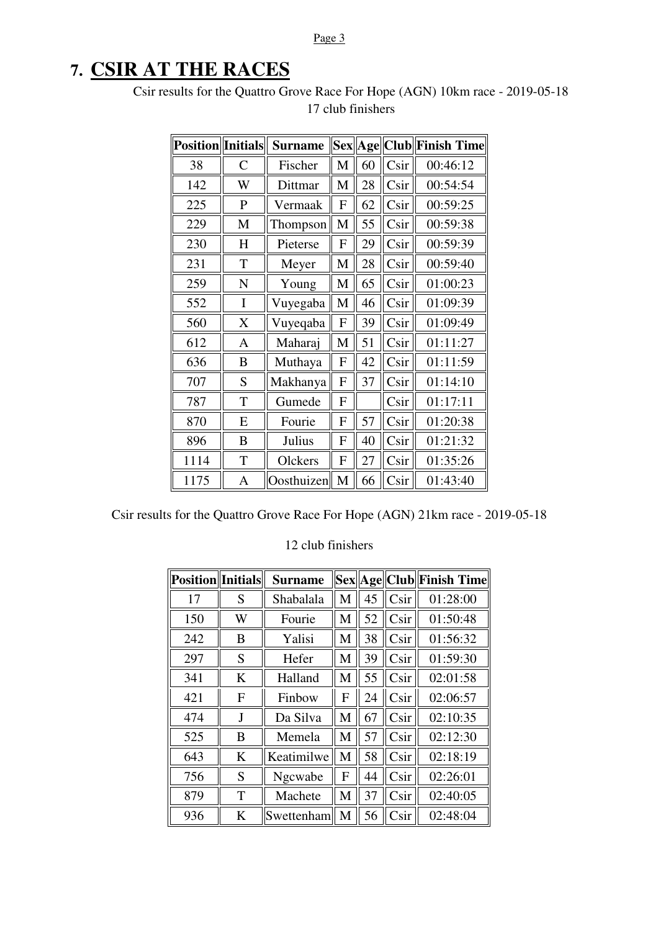#### Page 3

### **7. CSIR AT THE RACES**

Csir results for the Quattro Grove Race For Hope (AGN) 10km race - 2019-05-18 17 club finishers

| <b>Position</b> Initials |              | <b>Surname</b> | <b>Sex</b>                |    | Age  Club | <b>Finish Time</b> |
|--------------------------|--------------|----------------|---------------------------|----|-----------|--------------------|
| 38                       | $\mathsf{C}$ | Fischer        | M                         | 60 | Csir      | 00:46:12           |
| 142                      | W            | Dittmar        | M                         | 28 | Csir      | 00:54:54           |
| 225                      | ${\bf P}$    | Vermaak        | F                         | 62 | Csir      | 00:59:25           |
| 229                      | M            | Thompson       | M                         | 55 | Csir      | 00:59:38           |
| 230                      | H            | Pieterse       | F                         | 29 | Csir      | 00:59:39           |
| 231                      | T            | Meyer          | M                         | 28 | Csir      | 00:59:40           |
| 259                      | N            | Young          | M                         | 65 | Csir      | 01:00:23           |
| 552                      | I            | Vuyegaba       | M                         | 46 |           | 01:09:39           |
| 560                      | X            | Vuyeqaba       | $\mathbf{F}$              | 39 | Csir      | 01:09:49           |
| 612                      | A            | Maharaj        | M                         | 51 | Csir      | 01:11:27           |
| 636                      | B            | Muthaya        | $\mathbf{F}$              | 42 | Csir      | 01:11:59           |
| 707                      | S            | Makhanya       | F                         | 37 | Csir      | 01:14:10           |
| 787                      | T            | Gumede         | F                         |    | Csir      | 01:17:11           |
| 870                      | E            | Fourie         | F                         | 57 | Csir      | 01:20:38           |
| 896                      | B            | Julius         | F                         | 40 | Csir      | 01:21:32           |
| 1114                     | T            | Olckers        | $\boldsymbol{\mathrm{F}}$ | 27 | Csir      | 01:35:26           |
| 1175                     | A            | Oosthuizen     | M                         | 66 | Csir      | 01:43:40           |

Csir results for the Quattro Grove Race For Hope (AGN) 21km race - 2019-05-18

#### 12 club finishers

| Position  Initials |         | <b>Surname</b> |   |    | Sex  Age  Club | <b>Finish Time</b> |
|--------------------|---------|----------------|---|----|----------------|--------------------|
| 17                 | S       | Shabalala      | M | 45 | Csir           | 01:28:00           |
| 150                | W       | Fourie         | M | 52 | Csir           | 01:50:48           |
| 242                | B       | Yalisi         | M | 38 | Csir           | 01:56:32           |
| 297                | S       | Hefer          | M | 39 | Csir           | 01:59:30           |
| 341                | K       | Halland        | M | 55 | Csir           | 02:01:58           |
| 421                | F       | Finbow         | F | 24 | Csir           | 02:06:57           |
| 474                | J       | Da Silva       | M | 67 | Csir           | 02:10:35           |
| 525                | B       | Memela         | M | 57 | Csir           | 02:12:30           |
| 643                | $\bf K$ | Keatimilwe     | M | 58 | Csir           | 02:18:19           |
| 756                | S       | Ngcwabe        | F | 44 | Csir           | 02:26:01           |
| 879                | T       | Machete        | M | 37 | Csir           | 02:40:05           |
| 936                | K       | Swettenham     | M | 56 | Csir           | 02:48:04           |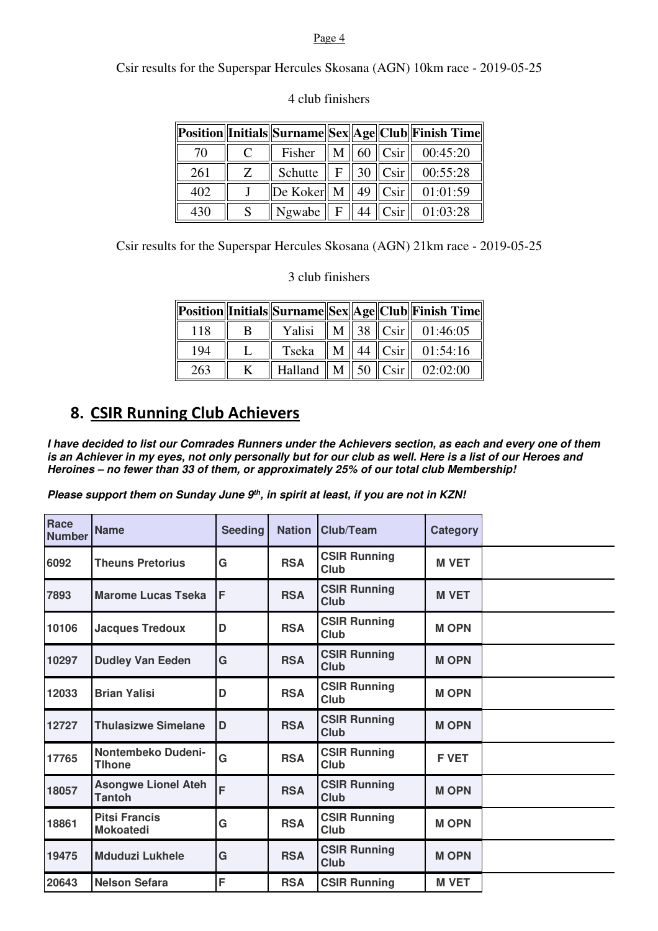#### Page 4

Csir results for the Superspar Hercules Skosana (AGN) 10km race - 2019-05-25

|     |   |                                     |  | Position  Initials  Surname  Sex  Age  Club  Finish Time |
|-----|---|-------------------------------------|--|----------------------------------------------------------|
| 70  | C | Fisher                              |  | $\ M\ $ 60 $\ C\sin\ $ 00:45:20                          |
| 261 | Z | Schutte $\  F \ $ 30 $\ $ Csir $\ $ |  | 00:55:28                                                 |
| 402 |   |                                     |  | $\ $ De Koker $\ $ M $\ $ 49 $\ $ Csir $\ $ 01:01:59     |
| 430 |   | Ngwabe $\  F \  44 \  C \sin \ $    |  | 01:03:28                                                 |

#### 4 club finishers

Csir results for the Superspar Hercules Skosana (AGN) 21km race - 2019-05-25

3 club finishers

|     |   |  |  | Position  Initials  Surname  Sex  Age  Club  Finish Time |
|-----|---|--|--|----------------------------------------------------------|
| 118 | B |  |  | Yalisi    M    38    Csir    01:46:05                    |
| 194 |   |  |  | Tseka $\ M\ $ 44 $\ C\sin\ $ 01:54:16                    |
| 263 |   |  |  | Halland    M    50    Csir    02:02:00                   |

### **8. CSIR Running Club Achievers**

**I have decided to list our Comrades Runners under the Achievers section, as each and every one of them is an Achiever in my eyes, not only personally but for our club as well. Here is a list of our Heroes and Heroines – no fewer than 33 of them, or approximately 25% of our total club Membership!** 

**Please support them on Sunday June 9th, in spirit at least, if you are not in KZN!** 

| Race<br><b>Number</b> | <b>Name</b>                              | <b>Seeding</b> | <b>Nation</b> | Club/Team                          | <b>Category</b> |  |
|-----------------------|------------------------------------------|----------------|---------------|------------------------------------|-----------------|--|
| 6092                  | <b>Theuns Pretorius</b>                  | G              | <b>RSA</b>    | <b>CSIR Running</b><br><b>Club</b> | <b>M VET</b>    |  |
| 7893                  | <b>Marome Lucas Tseka</b>                | F              | <b>RSA</b>    | <b>CSIR Running</b><br><b>Club</b> | <b>M VET</b>    |  |
| 10106                 | <b>Jacques Tredoux</b>                   | D              | <b>RSA</b>    | <b>CSIR Running</b><br>Club        | <b>MOPN</b>     |  |
| 10297                 | <b>Dudley Van Eeden</b>                  | G              | <b>RSA</b>    | <b>CSIR Running</b><br>Club        | <b>MOPN</b>     |  |
| 12033                 | <b>Brian Yalisi</b>                      | D              | <b>RSA</b>    | <b>CSIR Running</b><br><b>Club</b> | <b>MOPN</b>     |  |
| 12727                 | <b>Thulasizwe Simelane</b>               | D              | <b>RSA</b>    | <b>CSIR Running</b><br><b>Club</b> | <b>MOPN</b>     |  |
| 17765                 | Nontembeko Dudeni-<br><b>Tlhone</b>      | G              | <b>RSA</b>    | <b>CSIR Running</b><br>Club        | <b>FVET</b>     |  |
| 18057                 | <b>Asongwe Lionel Ateh</b><br>Tantoh     | F              | <b>RSA</b>    | <b>CSIR Running</b><br><b>Club</b> | <b>MOPN</b>     |  |
| 18861                 | <b>Pitsi Francis</b><br><b>Mokoatedi</b> | G              | <b>RSA</b>    | <b>CSIR Running</b><br>Club        | <b>MOPN</b>     |  |
| 19475                 | <b>Mduduzi Lukhele</b>                   | G              | <b>RSA</b>    | <b>CSIR Running</b><br><b>Club</b> | <b>MOPN</b>     |  |
| 20643                 | <b>Nelson Sefara</b>                     | F              | <b>RSA</b>    | <b>CSIR Running</b>                | <b>M VET</b>    |  |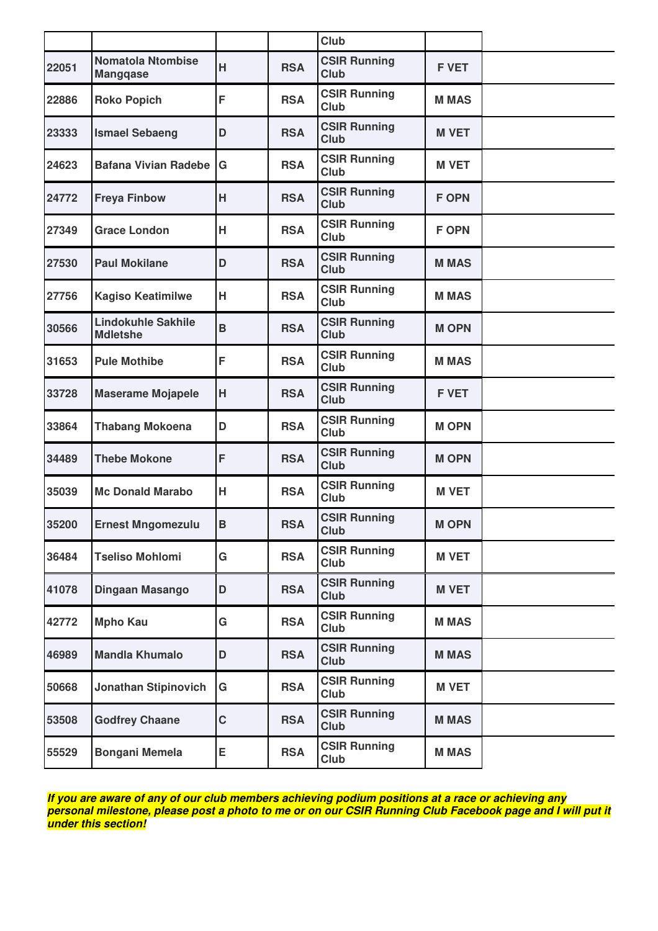|       |                                              |             |            | Club                               |              |  |
|-------|----------------------------------------------|-------------|------------|------------------------------------|--------------|--|
| 22051 | <b>Nomatola Ntombise</b><br><b>Mangqase</b>  | H           | <b>RSA</b> | <b>CSIR Running</b><br><b>Club</b> | <b>F VET</b> |  |
| 22886 | <b>Roko Popich</b>                           | F           | <b>RSA</b> | <b>CSIR Running</b><br>Club        | <b>M MAS</b> |  |
| 23333 | <b>Ismael Sebaeng</b>                        | D           | <b>RSA</b> | <b>CSIR Running</b><br>Club        | <b>M VET</b> |  |
| 24623 | <b>Bafana Vivian Radebe</b>                  | G           | <b>RSA</b> | <b>CSIR Running</b><br><b>Club</b> | <b>M VET</b> |  |
| 24772 | <b>Freya Finbow</b>                          | H           | <b>RSA</b> | <b>CSIR Running</b><br>Club        | <b>F OPN</b> |  |
| 27349 | <b>Grace London</b>                          | Н           | <b>RSA</b> | <b>CSIR Running</b><br><b>Club</b> | <b>F OPN</b> |  |
| 27530 | <b>Paul Mokilane</b>                         | D           | <b>RSA</b> | <b>CSIR Running</b><br>Club        | <b>MMAS</b>  |  |
| 27756 | <b>Kagiso Keatimilwe</b>                     | н           | <b>RSA</b> | <b>CSIR Running</b><br>Club        | <b>M MAS</b> |  |
| 30566 | <b>Lindokuhle Sakhile</b><br><b>Mdletshe</b> | $\mathbf B$ | <b>RSA</b> | <b>CSIR Running</b><br>Club        | <b>M OPN</b> |  |
| 31653 | <b>Pule Mothibe</b>                          | F           | <b>RSA</b> | <b>CSIR Running</b><br>Club        | <b>MMAS</b>  |  |
| 33728 | <b>Maserame Mojapele</b>                     | H           | <b>RSA</b> | <b>CSIR Running</b><br><b>Club</b> | <b>F VET</b> |  |
| 33864 | <b>Thabang Mokoena</b>                       | D           | <b>RSA</b> | <b>CSIR Running</b><br>Club        | <b>MOPN</b>  |  |
| 34489 | <b>Thebe Mokone</b>                          | F           | <b>RSA</b> | <b>CSIR Running</b><br><b>Club</b> | <b>MOPN</b>  |  |
| 35039 | <b>Mc Donald Marabo</b>                      | н           | <b>RSA</b> | <b>CSIR Running</b><br>Club        | <b>M VET</b> |  |
| 35200 | <b>Ernest Mngomezulu</b>                     | $\mathbf B$ | <b>RSA</b> | <b>CSIR Running</b><br>Club        | <b>MOPN</b>  |  |
| 36484 | <b>Tseliso Mohlomi</b>                       | G           | <b>RSA</b> | <b>CSIR Running</b><br>Club        | <b>M VET</b> |  |
| 41078 | Dingaan Masango                              | D           | <b>RSA</b> | <b>CSIR Running</b><br><b>Club</b> | <b>M VET</b> |  |
| 42772 | <b>Mpho Kau</b>                              | G           | <b>RSA</b> | <b>CSIR Running</b><br>Club        | <b>M MAS</b> |  |
| 46989 | <b>Mandla Khumalo</b>                        | D           | <b>RSA</b> | <b>CSIR Running</b><br>Club        | <b>M MAS</b> |  |
| 50668 | <b>Jonathan Stipinovich</b>                  | G           | <b>RSA</b> | <b>CSIR Running</b><br>Club        | <b>M VET</b> |  |
| 53508 | <b>Godfrey Chaane</b>                        | C           | <b>RSA</b> | <b>CSIR Running</b><br>Club        | <b>M MAS</b> |  |
| 55529 | <b>Bongani Memela</b>                        | Е           | <b>RSA</b> | <b>CSIR Running</b><br>Club        | <b>MMAS</b>  |  |
|       |                                              |             |            |                                    |              |  |

**If you are aware of any of our club members achieving podium positions at a race or achieving any personal milestone, please post a photo to me or on our CSIR Running Club Facebook page and I will put it under this section!**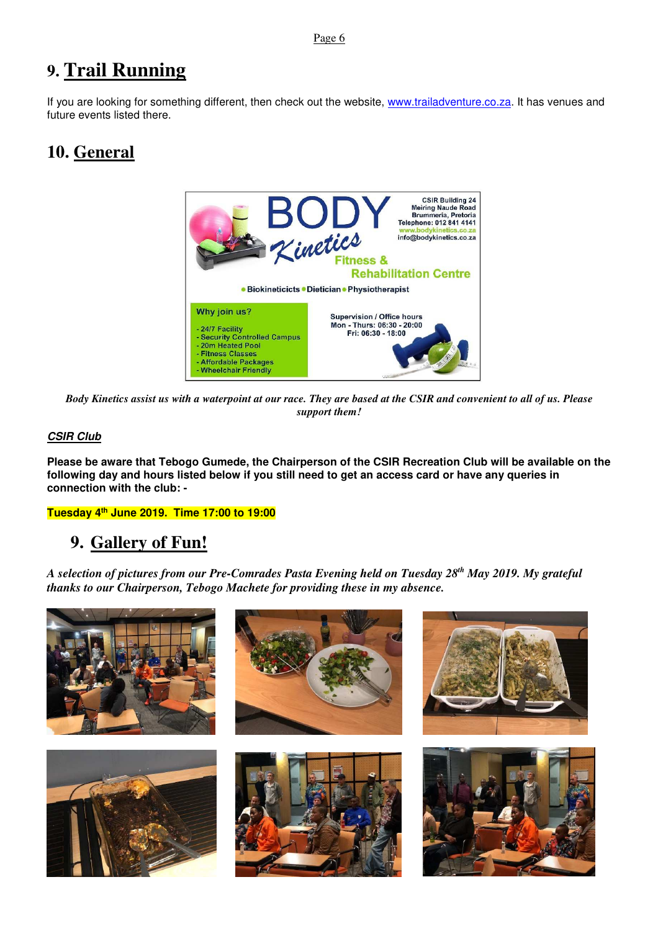### **9. Trail Running**

If you are looking for something different, then check out the website, www.trailadventure.co.za. It has venues and future events listed there.

### **10. General**



*Body Kinetics assist us with a waterpoint at our race. They are based at the CSIR and convenient to all of us. Please support them!* 

#### **CSIR Club**

**Please be aware that Tebogo Gumede, the Chairperson of the CSIR Recreation Club will be available on the following day and hours listed below if you still need to get an access card or have any queries in connection with the club: -** 

**Tuesday 4th June 2019. Time 17:00 to 19:00** 

### **9. Gallery of Fun!**

*A selection of pictures from our Pre-Comrades Pasta Evening held on Tuesday 28th May 2019. My grateful thanks to our Chairperson, Tebogo Machete for providing these in my absence.*